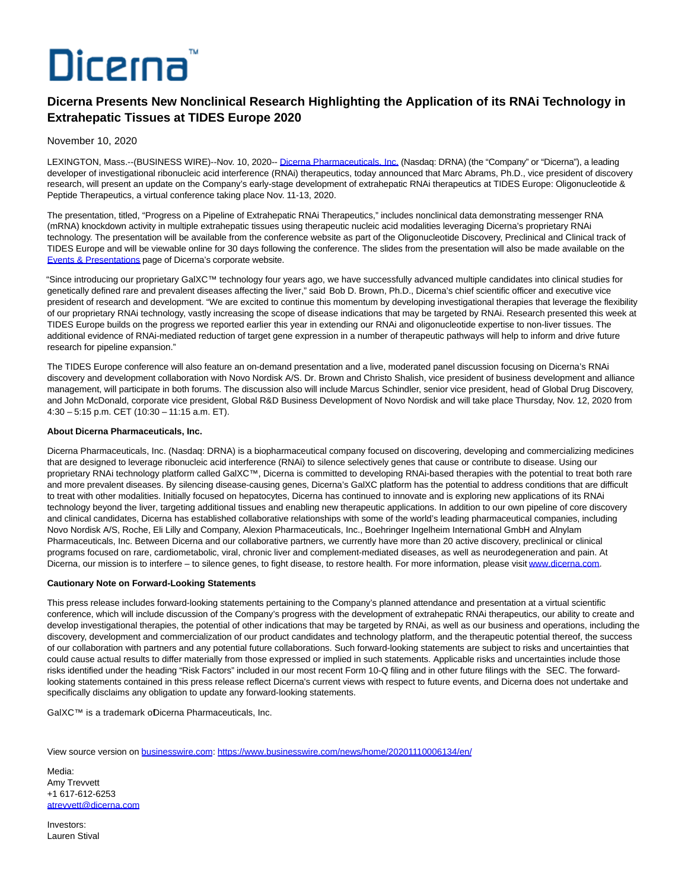# Dicerna

# **Dicerna Presents New Nonclinical Research Highlighting the Application of its RNAi Technology in Extrahepatic Tissues at TIDES Europe 2020**

## November 10, 2020

LEXINGTON, Mass.--(BUSINESS WIRE)--Nov. 10, 2020-[- Dicerna Pharmaceuticals, Inc. \(](https://cts.businesswire.com/ct/CT?id=smartlink&url=http%3A%2F%2Fwww.dicerna.com&esheet=52324453&newsitemid=20201110006134&lan=en-US&anchor=Dicerna+Pharmaceuticals%2C+Inc.&index=1&md5=4607d21d9116549b9c6a5a1c5f88a044)Nasdaq: DRNA) (the "Company" or "Dicerna"), a leading developer of investigational ribonucleic acid interference (RNAi) therapeutics, today announced that Marc Abrams, Ph.D., vice president of discovery research, will present an update on the Company's early-stage development of extrahepatic RNAi therapeutics at TIDES Europe: Oligonucleotide & Peptide Therapeutics, a virtual conference taking place Nov. 11-13, 2020.

The presentation, titled, "Progress on a Pipeline of Extrahepatic RNAi Therapeutics," includes nonclinical data demonstrating messenger RNA (mRNA) knockdown activity in multiple extrahepatic tissues using therapeutic nucleic acid modalities leveraging Dicerna's proprietary RNAi technology. The presentation will be available from the conference website as part of the Oligonucleotide Discovery, Preclinical and Clinical track of TIDES Europe and will be viewable online for 30 days following the conference. The slides from the presentation will also be made available on the [Events & Presentations p](https://cts.businesswire.com/ct/CT?id=smartlink&url=https%3A%2F%2Finvestors.dicerna.com%2Fevents-presentations&esheet=52324453&newsitemid=20201110006134&lan=en-US&anchor=Events+%26amp%3B+Presentations&index=2&md5=112c74e128f988cd0bd1804b1db73070)age of Dicerna's corporate website.

"Since introducing our proprietary GalXC™ technology four years ago, we have successfully advanced multiple candidates into clinical studies for genetically defined rare and prevalent diseases affecting the liver," said Bob D. Brown, Ph.D., Dicerna's chief scientific officer and executive vice president of research and development. "We are excited to continue this momentum by developing investigational therapies that leverage the flexibility of our proprietary RNAi technology, vastly increasing the scope of disease indications that may be targeted by RNAi. Research presented this week at TIDES Europe builds on the progress we reported earlier this year in extending our RNAi and oligonucleotide expertise to non-liver tissues. The additional evidence of RNAi-mediated reduction of target gene expression in a number of therapeutic pathways will help to inform and drive future research for pipeline expansion."

The TIDES Europe conference will also feature an on-demand presentation and a live, moderated panel discussion focusing on Dicerna's RNAi discovery and development collaboration with Novo Nordisk A/S. Dr. Brown and Christo Shalish, vice president of business development and alliance management, will participate in both forums. The discussion also will include Marcus Schindler, senior vice president, head of Global Drug Discovery, and John McDonald, corporate vice president, Global R&D Business Development of Novo Nordisk and will take place Thursday, Nov. 12, 2020 from 4:30 – 5:15 p.m. CET (10:30 – 11:15 a.m. ET).

### **About Dicerna Pharmaceuticals, Inc.**

Dicerna Pharmaceuticals, Inc. (Nasdaq: DRNA) is a biopharmaceutical company focused on discovering, developing and commercializing medicines that are designed to leverage ribonucleic acid interference (RNAi) to silence selectively genes that cause or contribute to disease. Using our proprietary RNAi technology platform called GalXC™, Dicerna is committed to developing RNAi-based therapies with the potential to treat both rare and more prevalent diseases. By silencing disease-causing genes, Dicerna's GalXC platform has the potential to address conditions that are difficult to treat with other modalities. Initially focused on hepatocytes, Dicerna has continued to innovate and is exploring new applications of its RNAi technology beyond the liver, targeting additional tissues and enabling new therapeutic applications. In addition to our own pipeline of core discovery and clinical candidates, Dicerna has established collaborative relationships with some of the world's leading pharmaceutical companies, including Novo Nordisk A/S, Roche, Eli Lilly and Company, Alexion Pharmaceuticals, Inc., Boehringer Ingelheim International GmbH and Alnylam Pharmaceuticals, Inc. Between Dicerna and our collaborative partners, we currently have more than 20 active discovery, preclinical or clinical programs focused on rare, cardiometabolic, viral, chronic liver and complement-mediated diseases, as well as neurodegeneration and pain. At Dicerna, our mission is to interfere – to silence genes, to fight disease, to restore health. For more information, please visi[t www.dicerna.com.](https://cts.businesswire.com/ct/CT?id=smartlink&url=http%3A%2F%2Fwww.dicerna.com&esheet=52324453&newsitemid=20201110006134&lan=en-US&anchor=www.dicerna.com&index=3&md5=bb07eaa12355ddbfb4956aa816cb9fdf)

### **Cautionary Note on Forward-Looking Statements**

This press release includes forward-looking statements pertaining to the Company's planned attendance and presentation at a virtual scientific conference, which will include discussion of the Company's progress with the development of extrahepatic RNAi therapeutics, our ability to create and develop investigational therapies, the potential of other indications that may be targeted by RNAi, as well as our business and operations, including the discovery, development and commercialization of our product candidates and technology platform, and the therapeutic potential thereof, the success of our collaboration with partners and any potential future collaborations. Such forward-looking statements are subject to risks and uncertainties that could cause actual results to differ materially from those expressed or implied in such statements. Applicable risks and uncertainties include those risks identified under the heading "Risk Factors" included in our most recent Form 10-Q filing and in other future filings with the SEC. The forwardlooking statements contained in this press release reflect Dicerna's current views with respect to future events, and Dicerna does not undertake and specifically disclaims any obligation to update any forward-looking statements.

GalXC™ is a trademark oDicerna Pharmaceuticals, Inc.

View source version on [businesswire.com:](http://businesswire.com/)<https://www.businesswire.com/news/home/20201110006134/en/>

Media: Amy Trevvett +1 617-612-6253 [atrevvett@dicerna.com](mailto:atrevvett@dicerna.com)

Investors: Lauren Stival